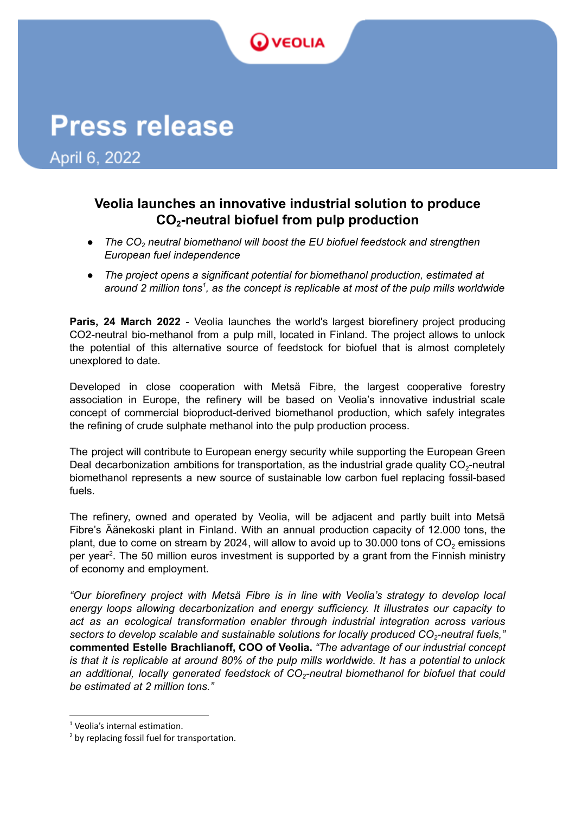## **VEOLIA**

# **Press release**

April 6, 2022

## **Veolia launches an innovative industrial solution to produce CO<sup>2</sup> -neutral biofuel from pulp production**

- *● The CO<sup>2</sup> neutral biomethanol will boost the EU biofuel feedstock and strengthen European fuel independence*
- *● The project opens a significant potential for biomethanol production, estimated at around 2 million tons , as the concept is replicable at most of the pulp mills worldwide 1*

**Paris, 24 March 2022** - Veolia launches the world's largest biorefinery project producing CO2-neutral bio-methanol from a pulp mill, located in Finland. The project allows to unlock the potential of this alternative source of feedstock for biofuel that is almost completely unexplored to date.

Developed in close cooperation with Metsä Fibre, the largest cooperative forestry association in Europe, the refinery will be based on Veolia's innovative industrial scale concept of commercial bioproduct-derived biomethanol production, which safely integrates the refining of crude sulphate methanol into the pulp production process.

The project will contribute to European energy security while supporting the European Green Deal decarbonization ambitions for transportation, as the industrial grade quality  $CO_{2}$ -neutral biomethanol represents a new source of sustainable low carbon fuel replacing fossil-based fuels.

The refinery, owned and operated by Veolia, will be adjacent and partly built into Metsä Fibre's Äänekoski plant in Finland. With an annual production capacity of 12.000 tons, the plant, due to come on stream by 2024, will allow to avoid up to 30.000 tons of  $CO<sub>2</sub>$  emissions per year<sup>2</sup>. The 50 million euros investment is supported by a grant from the Finnish ministry of economy and employment.

*"Our biorefinery project with Metsä Fibre is in line with Veolia's strategy to develop local energy loops allowing decarbonization and energy sufficiency. It illustrates our capacity to act as an ecological transformation enabler through industrial integration across various sectors to develop scalable and sustainable solutions for locally produced CO<sup>2</sup> -neutral fuels,"* **commented Estelle Brachlianoff, COO of Veolia.** *"The advantage of our industrial concept* is that it is replicable at around 80% of the pulp mills worldwide. It has a potential to unlock *an additional, locally generated feedstock of CO<sup>2</sup> -neutral biomethanol for biofuel that could be estimated at 2 million tons."*

<sup>&</sup>lt;sup>1</sup> Veolia's internal estimation.

<sup>&</sup>lt;sup>2</sup> by replacing fossil fuel for transportation.